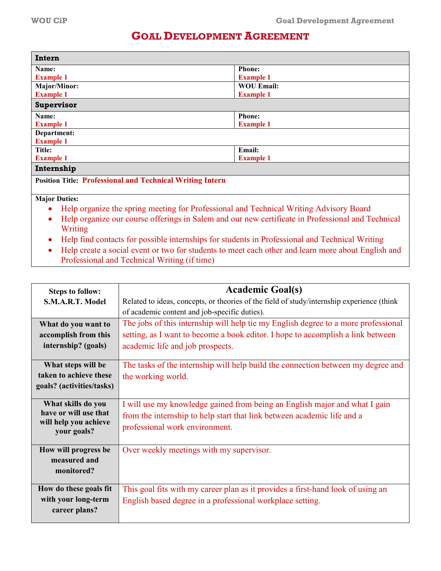## **GOAL DEVELOPMENT AGREEMENT**

| Intern                                                                                                         |                   |  |
|----------------------------------------------------------------------------------------------------------------|-------------------|--|
| Name:                                                                                                          | <b>Phone:</b>     |  |
| <b>Example 1</b>                                                                                               | <b>Example 1</b>  |  |
| Major/Minor:                                                                                                   | <b>WOU Email:</b> |  |
| <b>Example 1</b>                                                                                               | <b>Example 1</b>  |  |
| Supervisor                                                                                                     |                   |  |
| Name:                                                                                                          | <b>Phone:</b>     |  |
| <b>Example 1</b>                                                                                               | <b>Example 1</b>  |  |
| Department:                                                                                                    |                   |  |
| <b>Example 1</b>                                                                                               |                   |  |
| Title:                                                                                                         | Email:            |  |
| <b>Example 1</b>                                                                                               | <b>Example 1</b>  |  |
| Internship                                                                                                     |                   |  |
| <b>Position Title: Professional and Technical Writing Intern</b>                                               |                   |  |
| <b>Major Duties:</b>                                                                                           |                   |  |
| Help organize the spring meeting for Professional and Technical Writing Advisory Board<br>$\bullet$            |                   |  |
| Help organize our course offerings in Salem and our new certificate in Professional and Technical<br>$\bullet$ |                   |  |
| Writing                                                                                                        |                   |  |

- Help find contacts for possible internships for students in Professional and Technical Writing
- Help create a social event or two for students to meet each other and learn more about English and Professional and Technical Writing (if time)

| <b>Steps to follow:</b>              | <b>Academic Goal(s)</b>                                                                    |  |
|--------------------------------------|--------------------------------------------------------------------------------------------|--|
| S.M.A.R.T. Model                     | Related to ideas, concepts, or theories of the field of study/internship experience (think |  |
|                                      | of academic content and job-specific duties).                                              |  |
| What do you want to                  | The jobs of this internship will help tie my English degree to a more professional         |  |
| accomplish from this                 | setting, as I want to become a book editor. I hope to accomplish a link between            |  |
| internship? (goals)                  | academic life and job prospects.                                                           |  |
| What steps will be                   | The tasks of the internship will help build the connection between my degree and           |  |
| taken to achieve these               | the working world.                                                                         |  |
| goals? (activities/tasks)            |                                                                                            |  |
| What skills do you                   | I will use my knowledge gained from being an English major and what I gain                 |  |
| have or will use that                | from the internship to help start that link between academic life and a                    |  |
| will help you achieve<br>your goals? | professional work environment.                                                             |  |
|                                      |                                                                                            |  |
| How will progress be                 | Over weekly meetings with my supervisor.                                                   |  |
| measured and                         |                                                                                            |  |
| monitored?                           |                                                                                            |  |
|                                      |                                                                                            |  |
| How do these goals fit               | This goal fits with my career plan as it provides a first-hand look of using an            |  |
| with your long-term                  | English based degree in a professional workplace setting.                                  |  |
| career plans?                        |                                                                                            |  |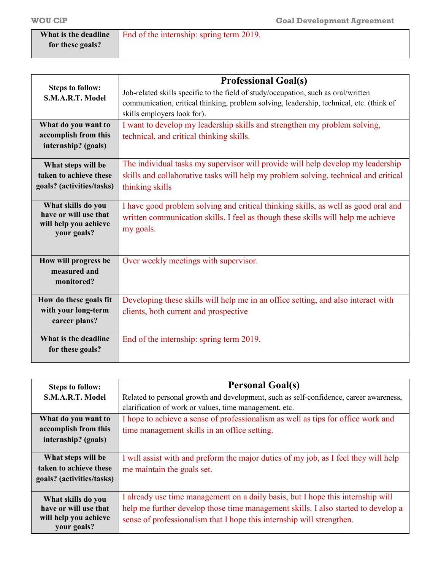| What is the deadline | End of the internship: spring term 2019. |
|----------------------|------------------------------------------|
| for these goals?     |                                          |

|                                             | <b>Professional Goal(s)</b>                                                              |  |
|---------------------------------------------|------------------------------------------------------------------------------------------|--|
| <b>Steps to follow:</b>                     | Job-related skills specific to the field of study/occupation, such as oral/written       |  |
| S.M.A.R.T. Model                            | communication, critical thinking, problem solving, leadership, technical, etc. (think of |  |
|                                             | skills employers look for).                                                              |  |
| What do you want to                         | I want to develop my leadership skills and strengthen my problem solving,                |  |
| accomplish from this                        | technical, and critical thinking skills.                                                 |  |
| internship? (goals)                         |                                                                                          |  |
| What steps will be                          | The individual tasks my supervisor will provide will help develop my leadership          |  |
| taken to achieve these                      | skills and collaborative tasks will help my problem solving, technical and critical      |  |
| goals? (activities/tasks)                   | thinking skills                                                                          |  |
|                                             |                                                                                          |  |
| What skills do you<br>have or will use that | I have good problem solving and critical thinking skills, as well as good oral and       |  |
| will help you achieve                       | written communication skills. I feel as though these skills will help me achieve         |  |
| your goals?                                 | my goals.                                                                                |  |
|                                             |                                                                                          |  |
| How will progress be                        | Over weekly meetings with supervisor.                                                    |  |
| measured and                                |                                                                                          |  |
| monitored?                                  |                                                                                          |  |
| How do these goals fit                      | Developing these skills will help me in an office setting, and also interact with        |  |
| with your long-term                         | clients, both current and prospective                                                    |  |
| career plans?                               |                                                                                          |  |
| What is the deadline                        | End of the internship: spring term 2019.                                                 |  |
| for these goals?                            |                                                                                          |  |
|                                             |                                                                                          |  |

| <b>Steps to follow:</b>   | <b>Personal Goal(s)</b>                                                                |  |
|---------------------------|----------------------------------------------------------------------------------------|--|
| S.M.A.R.T. Model          | Related to personal growth and development, such as self-confidence, career awareness, |  |
|                           | clarification of work or values, time management, etc.                                 |  |
| What do you want to       | I hope to achieve a sense of professionalism as well as tips for office work and       |  |
| accomplish from this      | time management skills in an office setting.                                           |  |
| internship? (goals)       |                                                                                        |  |
|                           |                                                                                        |  |
| What steps will be        | I will assist with and preform the major duties of my job, as I feel they will help    |  |
| taken to achieve these    | me maintain the goals set.                                                             |  |
| goals? (activities/tasks) |                                                                                        |  |
|                           |                                                                                        |  |
| What skills do you        | I already use time management on a daily basis, but I hope this internship will        |  |
| have or will use that     | help me further develop those time management skills. I also started to develop a      |  |
| will help you achieve     | sense of professionalism that I hope this internship will strengthen.                  |  |
| your goals?               |                                                                                        |  |